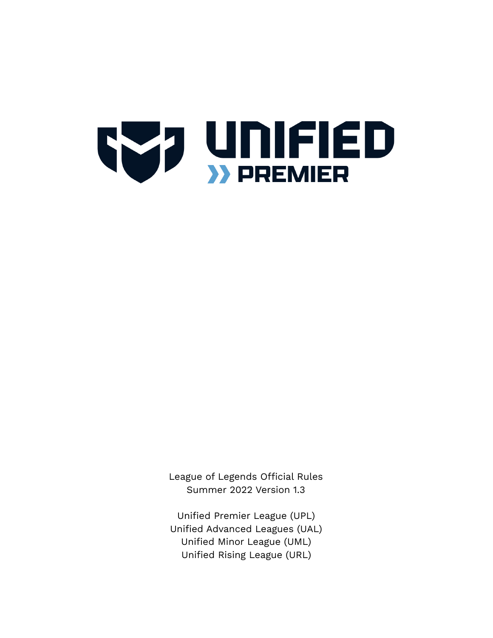

League of Legends Official Rules Summer 2022 Version 1.3

Unified Premier League (UPL) Unified Advanced Leagues (UAL) Unified Minor League (UML) Unified Rising League (URL)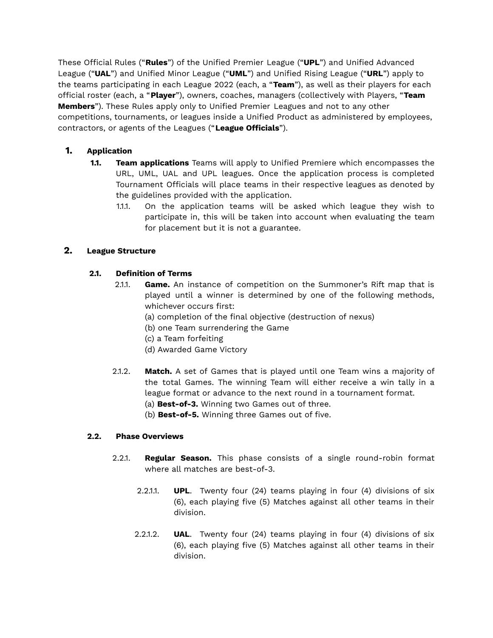These Official Rules ("**Rules**") of the Unified Premier League ("**UPL**") and Unified Advanced League ("**UAL**") and Unified Minor League ("**UML**") and Unified Rising League ("**URL**") apply to the teams participating in each League 2022 (each, a "**Team**"), as well as their players for each official roster (each, a "**Player**"), owners, coaches, managers (collectively with Players, "**Team Members**"). These Rules apply only to Unified Premier Leagues and not to any other competitions, tournaments, or leagues inside a Unified Product as administered by employees, contractors, or agents of the Leagues ("**League Officials**").

# **1. Application**

- **1.1. Team applications** Teams will apply to Unified Premiere which encompasses the URL, UML, UAL and UPL leagues. Once the application process is completed Tournament Officials will place teams in their respective leagues as denoted by the guidelines provided with the application.
	- 1.1.1. On the application teams will be asked which league they wish to participate in, this will be taken into account when evaluating the team for placement but it is not a guarantee.

# **2. League Structure**

# **2.1. Definition of Terms**

- 2.1.1. **Game.** An instance of competition on the Summoner's Rift map that is played until a winner is determined by one of the following methods, whichever occurs first:
	- (a) completion of the final objective (destruction of nexus)
	- (b) one Team surrendering the Game
	- (c) a Team forfeiting
	- (d) Awarded Game Victory
- 2.1.2. **Match.** A set of Games that is played until one Team wins a majority of the total Games. The winning Team will either receive a win tally in a league format or advance to the next round in a tournament format.
	- (a) **Best-of-3.** Winning two Games out of three.
	- (b) **Best-of-5.** Winning three Games out of five.

### **2.2. Phase Overviews**

- 2.2.1. **Regular Season.** This phase consists of a single round-robin format where all matches are best-of-3.
	- 2.2.1.1. **UPL**. Twenty four (24) teams playing in four (4) divisions of six (6), each playing five (5) Matches against all other teams in their division.
	- 2.2.1.2. **UAL**. Twenty four (24) teams playing in four (4) divisions of six (6), each playing five (5) Matches against all other teams in their division.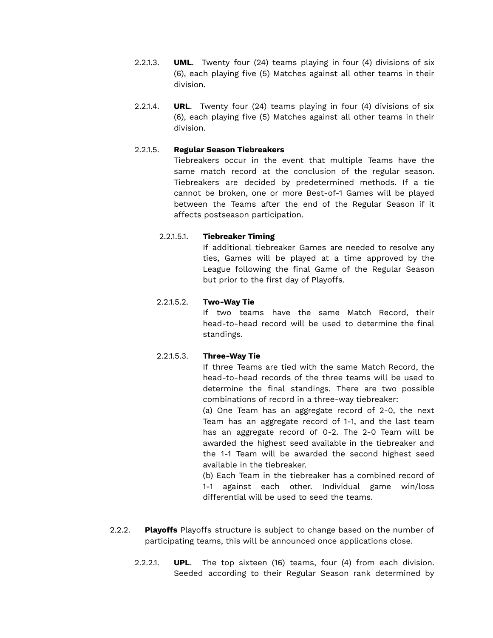- 2.2.1.3. **UML**. Twenty four (24) teams playing in four (4) divisions of six (6), each playing five (5) Matches against all other teams in their division.
- 2.2.1.4. **URL**. Twenty four (24) teams playing in four (4) divisions of six (6), each playing five (5) Matches against all other teams in their division.

### 2.2.1.5. **Regular Season Tiebreakers**

Tiebreakers occur in the event that multiple Teams have the same match record at the conclusion of the regular season. Tiebreakers are decided by predetermined methods. If a tie cannot be broken, one or more Best-of-1 Games will be played between the Teams after the end of the Regular Season if it affects postseason participation.

### 2.2.1.5.1. **Tiebreaker Timing**

If additional tiebreaker Games are needed to resolve any ties, Games will be played at a time approved by the League following the final Game of the Regular Season but prior to the first day of Playoffs.

### 2.2.1.5.2. **Two-Way Tie**

If two teams have the same Match Record, their head-to-head record will be used to determine the final standings.

### 2.2.1.5.3. **Three-Way Tie**

If three Teams are tied with the same Match Record, the head-to-head records of the three teams will be used to determine the final standings. There are two possible combinations of record in a three-way tiebreaker:

(a) One Team has an aggregate record of 2-0, the next Team has an aggregate record of 1-1, and the last team has an aggregate record of 0-2. The 2-0 Team will be awarded the highest seed available in the tiebreaker and the 1-1 Team will be awarded the second highest seed available in the tiebreaker.

(b) Each Team in the tiebreaker has a combined record of 1-1 against each other. Individual game win/loss differential will be used to seed the teams.

- 2.2.2. **Playoffs** Playoffs structure is subject to change based on the number of participating teams, this will be announced once applications close.
	- 2.2.2.1. **UPL**. The top sixteen (16) teams, four (4) from each division. Seeded according to their Regular Season rank determined by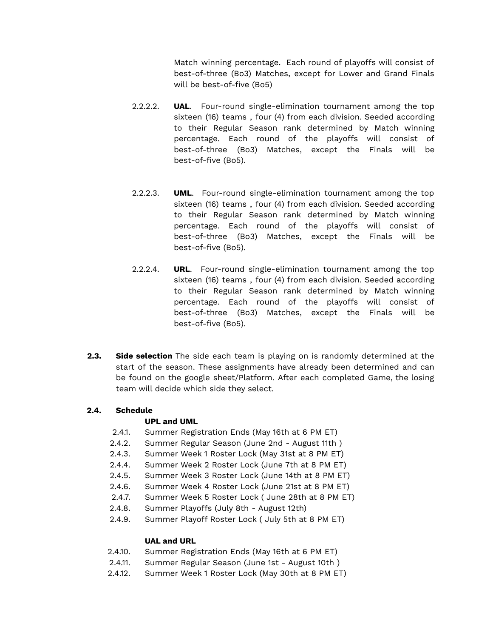Match winning percentage. Each round of playoffs will consist of best-of-three (Bo3) Matches, except for Lower and Grand Finals will be best-of-five (Bo5)

- 2.2.2.2. **UAL**. Four-round single-elimination tournament among the top sixteen (16) teams , four (4) from each division. Seeded according to their Regular Season rank determined by Match winning percentage. Each round of the playoffs will consist of best-of-three (Bo3) Matches, except the Finals will be best-of-five (Bo5).
- 2.2.2.3. **UML**. Four-round single-elimination tournament among the top sixteen (16) teams , four (4) from each division. Seeded according to their Regular Season rank determined by Match winning percentage. Each round of the playoffs will consist of best-of-three (Bo3) Matches, except the Finals will be best-of-five (Bo5).
- 2.2.2.4. **URL**. Four-round single-elimination tournament among the top sixteen (16) teams , four (4) from each division. Seeded according to their Regular Season rank determined by Match winning percentage. Each round of the playoffs will consist of best-of-three (Bo3) Matches, except the Finals will be best-of-five (Bo5).
- **2.3. Side selection** The side each team is playing on is randomly determined at the start of the season. These assignments have already been determined and can be found on the google sheet/Platform. After each completed Game, the losing team will decide which side they select.

### **2.4. Schedule**

#### **UPL and UML**

- 2.4.1. Summer Registration Ends (May 16th at 6 PM ET)
- 2.4.2. Summer Regular Season (June 2nd August 11th )
- 2.4.3. Summer Week 1 Roster Lock (May 31st at 8 PM ET)
- 2.4.4. Summer Week 2 Roster Lock (June 7th at 8 PM ET)
- 2.4.5. Summer Week 3 Roster Lock (June 14th at 8 PM ET)
- 2.4.6. Summer Week 4 Roster Lock (June 21st at 8 PM ET)
- 2.4.7. Summer Week 5 Roster Lock ( June 28th at 8 PM ET)
- 2.4.8. Summer Playoffs (July 8th August 12th)
- 2.4.9. Summer Playoff Roster Lock ( July 5th at 8 PM ET)

### **UAL and URL**

- 2.4.10. Summer Registration Ends (May 16th at 6 PM ET)
- 2.4.11. Summer Regular Season (June 1st August 10th )
- 2.4.12. Summer Week 1 Roster Lock (May 30th at 8 PM ET)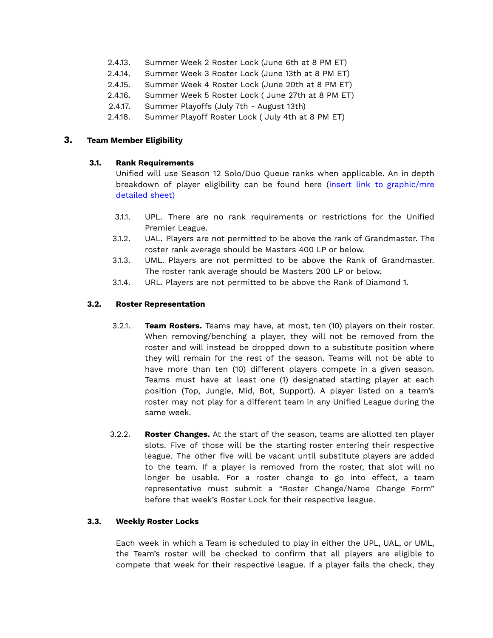- 2.4.13. Summer Week 2 Roster Lock (June 6th at 8 PM ET)
- 2.4.14. Summer Week 3 Roster Lock (June 13th at 8 PM ET)
- 2.4.15. Summer Week 4 Roster Lock (June 20th at 8 PM ET)
- 2.4.16. Summer Week 5 Roster Lock ( June 27th at 8 PM ET)
- 2.4.17. Summer Playoffs (July 7th August 13th)
- 2.4.18. Summer Playoff Roster Lock ( July 4th at 8 PM ET)

#### **3. Team Member Eligibility**

#### **3.1. Rank Requirements**

Unified will use Season 12 Solo/Duo Queue ranks when applicable. An in depth breakdown of player eligibility can be found here (insert link to graphic/mre detailed sheet)

- 3.1.1. UPL. There are no rank requirements or restrictions for the Unified Premier League.
- 3.1.2. UAL. Players are not permitted to be above the rank of Grandmaster. The roster rank average should be Masters 400 LP or below.
- 3.1.3. UML. Players are not permitted to be above the Rank of Grandmaster. The roster rank average should be Masters 200 LP or below.
- 3.1.4. URL. Players are not permitted to be above the Rank of Diamond 1.

#### **3.2. Roster Representation**

- 3.2.1. **Team Rosters.** Teams may have, at most, ten (10) players on their roster. When removing/benching a player, they will not be removed from the roster and will instead be dropped down to a substitute position where they will remain for the rest of the season. Teams will not be able to have more than ten (10) different players compete in a given season. Teams must have at least one (1) designated starting player at each position (Top, Jungle, Mid, Bot, Support). A player listed on a team's roster may not play for a different team in any Unified League during the same week.
- 3.2.2. **Roster Changes.** At the start of the season, teams are allotted ten player slots. Five of those will be the starting roster entering their respective league. The other five will be vacant until substitute players are added to the team. If a player is removed from the roster, that slot will no longer be usable. For a roster change to go into effect, a team representative must submit a "Roster Change/Name Change Form" before that week's Roster Lock for their respective league.

#### **3.3. Weekly Roster Locks**

Each week in which a Team is scheduled to play in either the UPL, UAL, or UML, the Team's roster will be checked to confirm that all players are eligible to compete that week for their respective league. If a player fails the check, they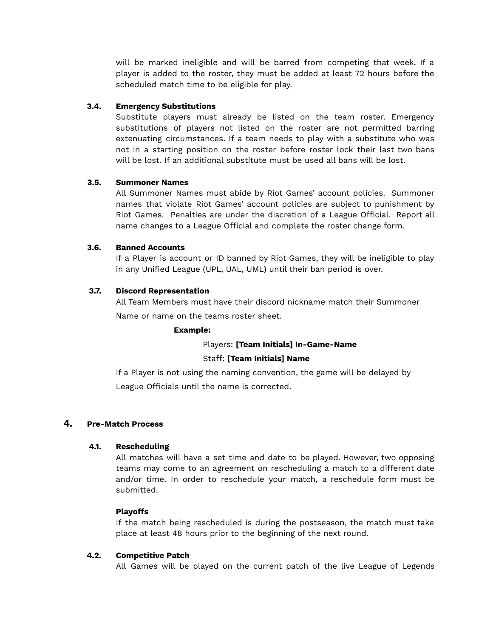will be marked ineligible and will be barred from competing that week. If a player is added to the roster, they must be added at least 72 hours before the scheduled match time to be eligible for play.

## **3.4. Emergency Substitutions**

Substitute players must already be listed on the team roster. Emergency substitutions of players not listed on the roster are not permitted barring extenuating circumstances. If a team needs to play with a substitute who was not in a starting position on the roster before roster lock their last two bans will be lost. If an additional substitute must be used all bans will be lost.

### **3.5. Summoner Names**

All Summoner Names must abide by Riot Games' account policies. Summoner names that violate Riot Games' account policies are subject to punishment by Riot Games. Penalties are under the discretion of a League Official. Report all name changes to a League Official and complete the roster change form.

#### **3.6. Banned Accounts**

If a Player is account or ID banned by Riot Games, they will be ineligible to play in any Unified League (UPL, UAL, UML) until their ban period is over.

#### **3.7. Discord Representation**

All Team Members must have their discord nickname match their Summoner

Name or name on the teams roster sheet.

#### **Example:**

#### Players: **[Team Initials] In-Game-Name**

#### Staff: **[Team Initials] Name**

If a Player is not using the naming convention, the game will be delayed by League Officials until the name is corrected.

### **4. Pre-Match Process**

#### **4.1. Rescheduling**

All matches will have a set time and date to be played. However, two opposing teams may come to an agreement on rescheduling a match to a different date and/or time. In order to reschedule your match, a reschedule form must be submitted.

### **Playoffs**

If the match being rescheduled is during the postseason, the match must take place at least 48 hours prior to the beginning of the next round.

#### **4.2. Competitive Patch**

All Games will be played on the current patch of the live League of Legends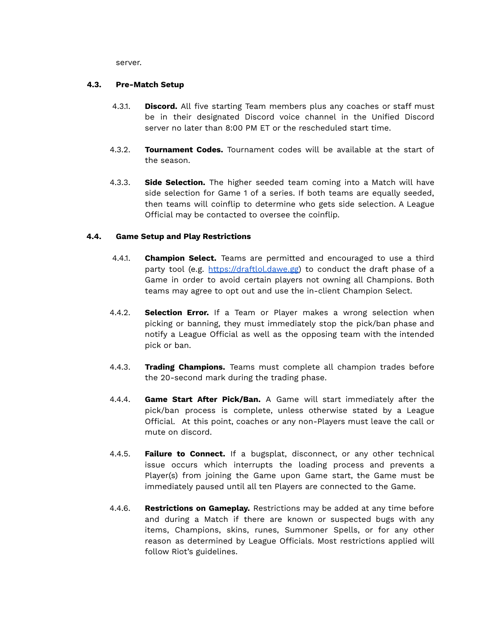server.

### **4.3. Pre-Match Setup**

- 4.3.1. **Discord.** All five starting Team members plus any coaches or staff must be in their designated Discord voice channel in the Unified Discord server no later than 8:00 PM ET or the rescheduled start time.
- 4.3.2. **Tournament Codes.** Tournament codes will be available at the start of the season.
- 4.3.3. **Side Selection.** The higher seeded team coming into a Match will have side selection for Game 1 of a series. If both teams are equally seeded, then teams will coinflip to determine who gets side selection. A League Official may be contacted to oversee the coinflip.

### **4.4. Game Setup and Play Restrictions**

- 4.4.1. **Champion Select.** Teams are permitted and encouraged to use a third party tool (e.g. [https://draftlol.dawe.gg\)](https://draftlol.dawe.gg) to conduct the draft phase of a Game in order to avoid certain players not owning all Champions. Both teams may agree to opt out and use the in-client Champion Select.
- 4.4.2. **Selection Error.** If a Team or Player makes a wrong selection when picking or banning, they must immediately stop the pick/ban phase and notify a League Official as well as the opposing team with the intended pick or ban.
- 4.4.3. **Trading Champions.** Teams must complete all champion trades before the 20-second mark during the trading phase.
- 4.4.4. **Game Start After Pick/Ban.** A Game will start immediately after the pick/ban process is complete, unless otherwise stated by a League Official. At this point, coaches or any non-Players must leave the call or mute on discord.
- 4.4.5. **Failure to Connect.** If a bugsplat, disconnect, or any other technical issue occurs which interrupts the loading process and prevents a Player(s) from joining the Game upon Game start, the Game must be immediately paused until all ten Players are connected to the Game.
- 4.4.6. **Restrictions on Gameplay.** Restrictions may be added at any time before and during a Match if there are known or suspected bugs with any items, Champions, skins, runes, Summoner Spells, or for any other reason as determined by League Officials. Most restrictions applied will follow Riot's guidelines.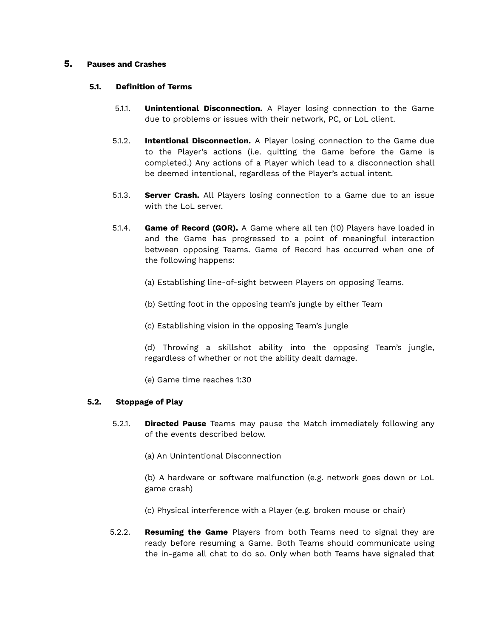#### **5. Pauses and Crashes**

#### **5.1. Definition of Terms**

- 5.1.1. **Unintentional Disconnection.** A Player losing connection to the Game due to problems or issues with their network, PC, or LoL client.
- 5.1.2. **Intentional Disconnection.** A Player losing connection to the Game due to the Player's actions (i.e. quitting the Game before the Game is completed.) Any actions of a Player which lead to a disconnection shall be deemed intentional, regardless of the Player's actual intent.
- 5.1.3. **Server Crash.** All Players losing connection to a Game due to an issue with the LoL server.
- 5.1.4. **Game of Record (GOR).** A Game where all ten (10) Players have loaded in and the Game has progressed to a point of meaningful interaction between opposing Teams. Game of Record has occurred when one of the following happens:
	- (a) Establishing line-of-sight between Players on opposing Teams.
	- (b) Setting foot in the opposing team's jungle by either Team
	- (c) Establishing vision in the opposing Team's jungle
	- (d) Throwing a skillshot ability into the opposing Team's jungle, regardless of whether or not the ability dealt damage.
	- (e) Game time reaches 1:30

#### **5.2. Stoppage of Play**

- 5.2.1. **Directed Pause** Teams may pause the Match immediately following any of the events described below.
	- (a) An Unintentional Disconnection

(b) A hardware or software malfunction (e.g. network goes down or LoL game crash)

- (c) Physical interference with a Player (e.g. broken mouse or chair)
- 5.2.2. **Resuming the Game** Players from both Teams need to signal they are ready before resuming a Game. Both Teams should communicate using the in-game all chat to do so. Only when both Teams have signaled that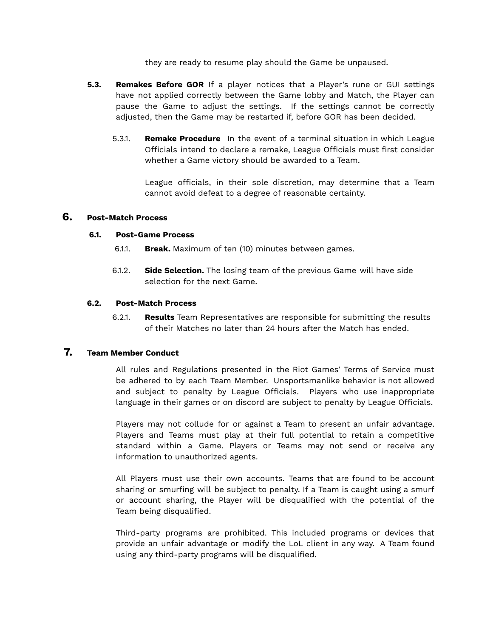they are ready to resume play should the Game be unpaused.

- **5.3. Remakes Before GOR** If a player notices that a Player's rune or GUI settings have not applied correctly between the Game lobby and Match, the Player can pause the Game to adjust the settings. If the settings cannot be correctly adjusted, then the Game may be restarted if, before GOR has been decided.
	- 5.3.1. **Remake Procedure** In the event of a terminal situation in which League Officials intend to declare a remake, League Officials must first consider whether a Game victory should be awarded to a Team.

League officials, in their sole discretion, may determine that a Team cannot avoid defeat to a degree of reasonable certainty.

### **6. Post-Match Process**

#### **6.1. Post-Game Process**

- 6.1.1. **Break.** Maximum of ten (10) minutes between games.
- 6.1.2. **Side Selection.** The losing team of the previous Game will have side selection for the next Game.

#### **6.2. Post-Match Process**

6.2.1. **Results** Team Representatives are responsible for submitting the results of their Matches no later than 24 hours after the Match has ended.

# **7. Team Member Conduct**

All rules and Regulations presented in the Riot Games' Terms of Service must be adhered to by each Team Member. Unsportsmanlike behavior is not allowed and subject to penalty by League Officials. Players who use inappropriate language in their games or on discord are subject to penalty by League Officials.

Players may not collude for or against a Team to present an unfair advantage. Players and Teams must play at their full potential to retain a competitive standard within a Game. Players or Teams may not send or receive any information to unauthorized agents.

All Players must use their own accounts. Teams that are found to be account sharing or smurfing will be subject to penalty. If a Team is caught using a smurf or account sharing, the Player will be disqualified with the potential of the Team being disqualified.

Third-party programs are prohibited. This included programs or devices that provide an unfair advantage or modify the LoL client in any way. A Team found using any third-party programs will be disqualified.